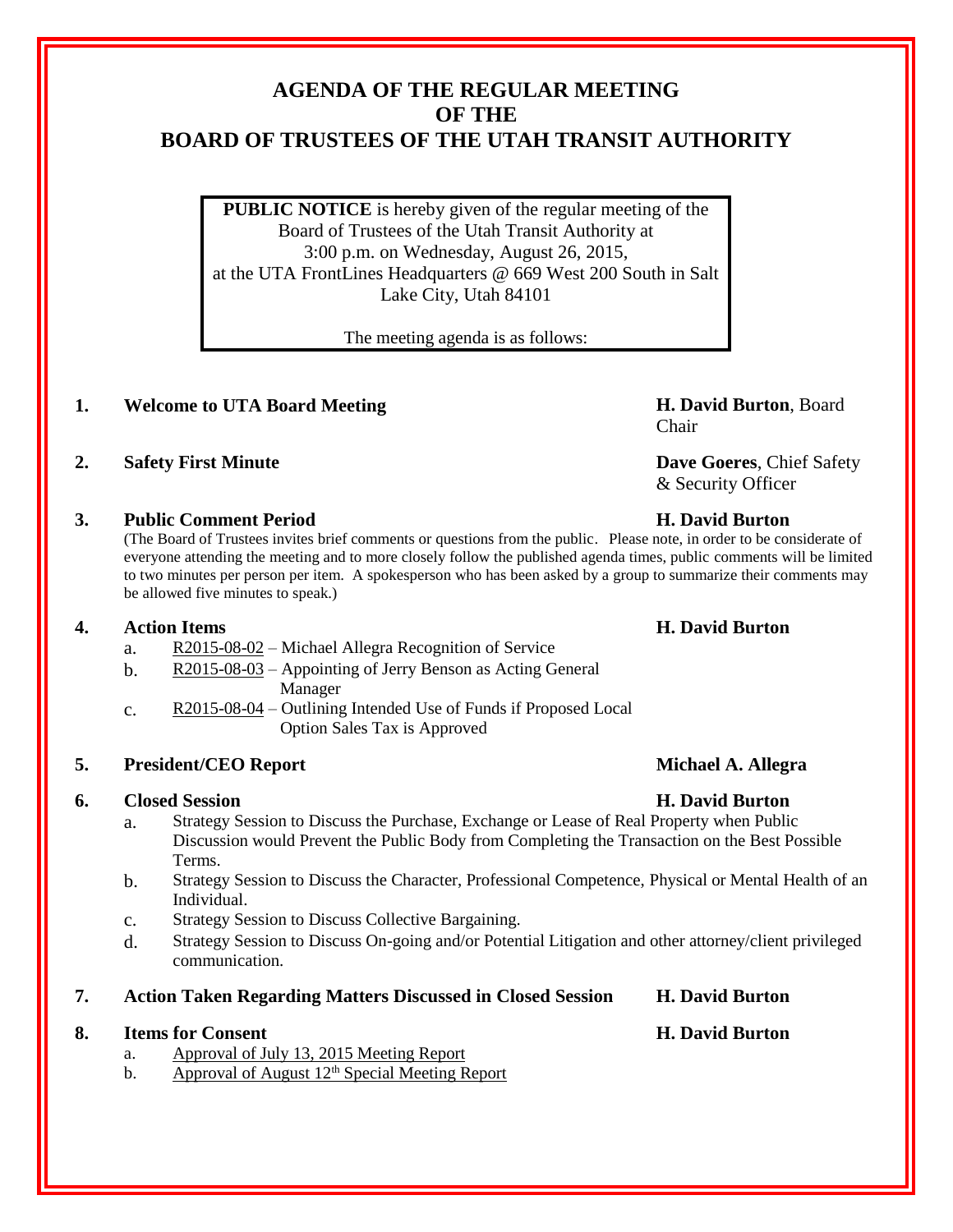# **AGENDA OF THE REGULAR MEETING OF THE BOARD OF TRUSTEES OF THE UTAH TRANSIT AUTHORITY**

**PUBLIC NOTICE** is hereby given of the regular meeting of the Board of Trustees of the Utah Transit Authority at 3:00 p.m. on Wednesday, August 26, 2015, at the UTA FrontLines Headquarters @ 669 West 200 South in Salt Lake City, Utah 84101

The meeting agenda is as follows:

# **1. Welcome to UTA Board Meeting H. David Burton**, Board

# **2. Safety First Minute Dave Goeres**, Chief Safety

# **3. Public Comment Period H. David Burton**

(The Board of Trustees invites brief comments or questions from the public. Please note, in order to be considerate of everyone attending the meeting and to more closely follow the published agenda times, public comments will be limited to two minutes per person per item. A spokesperson who has been asked by a group to summarize their comments may be allowed five minutes to speak.)

## **4. Action Items H. David Burton**

- a. R2015-08-02 Michael Allegra Recognition of Service
- b. R2015-08-03 Appointing of Jerry Benson as Acting General Manager
- c. R2015-08-04 Outlining Intended Use of Funds if Proposed Local Option Sales Tax is Approved

# **5. President/CEO Report Michael A. Allegra**

## **6. Closed Session H. David Burton**

- a. Strategy Session to Discuss the Purchase, Exchange or Lease of Real Property when Public Discussion would Prevent the Public Body from Completing the Transaction on the Best Possible Terms.
- b. Strategy Session to Discuss the Character, Professional Competence, Physical or Mental Health of an Individual.
- c. Strategy Session to Discuss Collective Bargaining.
- d. Strategy Session to Discuss On-going and/or Potential Litigation and other attorney/client privileged communication.
- **7. Action Taken Regarding Matters Discussed in Closed Session H. David Burton**

## **8. Items for Consent H. David Burton**

- a. Approval of July 13, 2015 Meeting Report
- b. Approval of August  $12<sup>th</sup>$  Special Meeting Report

Chair

& Security Officer